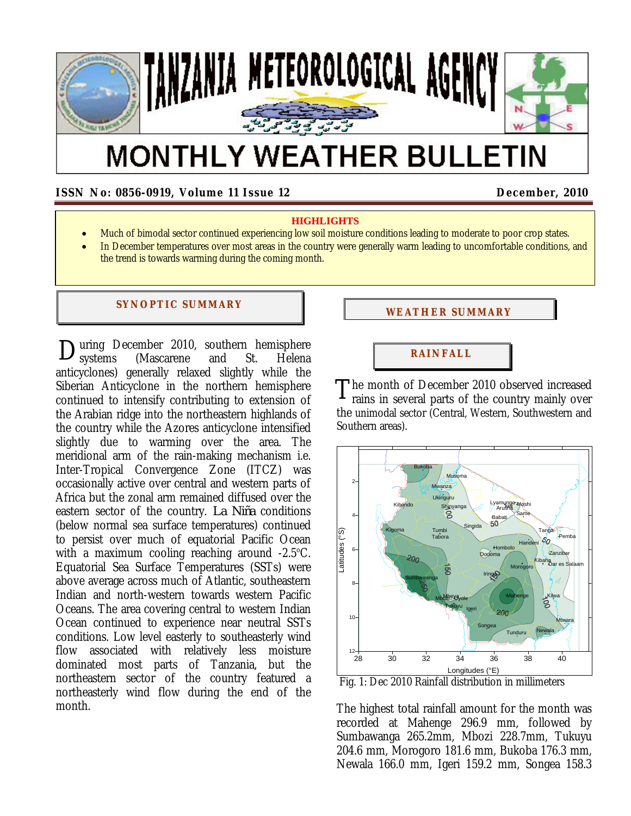

# **MONTHLY WEATHER BULLETIN**

**ISSN No: 0856-0919, Volume 11 Issue 12 December, 2010**

## **HIGHLIGHTS**

- Much of bimodal sector continued experiencing low soil moisture conditions leading to moderate to poor crop states.
- In December temperatures over most areas in the country were generally warm leading to uncomfortable conditions, and the trend is towards warming during the coming month.

#### **SYNOPTIC SUMMARY**

During December 2010, southern hemisphere<br>
Usystems (Mascarene and St. Helena systems (Mascarene and St. Helena anticyclones) generally relaxed slightly while the Siberian Anticyclone in the northern hemisphere continued to intensify contributing to extension of the Arabian ridge into the northeastern highlands of the country while the Azores anticyclone intensified slightly due to warming over the area. The meridional arm of the rain-making mechanism i.e. Inter-Tropical Convergence Zone (ITCZ) was occasionally active over central and western parts of Africa but the zonal arm remained diffused over the eastern sector of the country. *La Niña* conditions (below normal sea surface temperatures) continued to persist over much of equatorial Pacific Ocean with a maximum cooling reaching around  $-2.5^{\circ}$ C. Equatorial Sea Surface Temperatures (SSTs) were above average across much of Atlantic, southeastern Indian and north-western towards western Pacific Oceans. The area covering central to western Indian Ocean continued to experience near neutral SSTs conditions. Low level easterly to southeasterly wind flow associated with relatively less moisture dominated most parts of Tanzania, but the northeastern sector of the country featured a northeasterly wind flow during the end of the month.

# **WEATHER SUMMARY**

# **RAI NFALL**

The month of December 2010 observed increased<br>rains in several parts of the country mainly over rains in several parts of the country mainly over the unimodal sector (Central, Western, Southwestern and Southern areas).



The highest total rainfall amount for the month was recorded at Mahenge 296.9 mm, followed by Sumbawanga 265.2mm, Mbozi 228.7mm, Tukuyu 204.6 mm, Morogoro 181.6 mm, Bukoba 176.3 mm, Newala 166.0 mm, Igeri 159.2 mm, Songea 158.3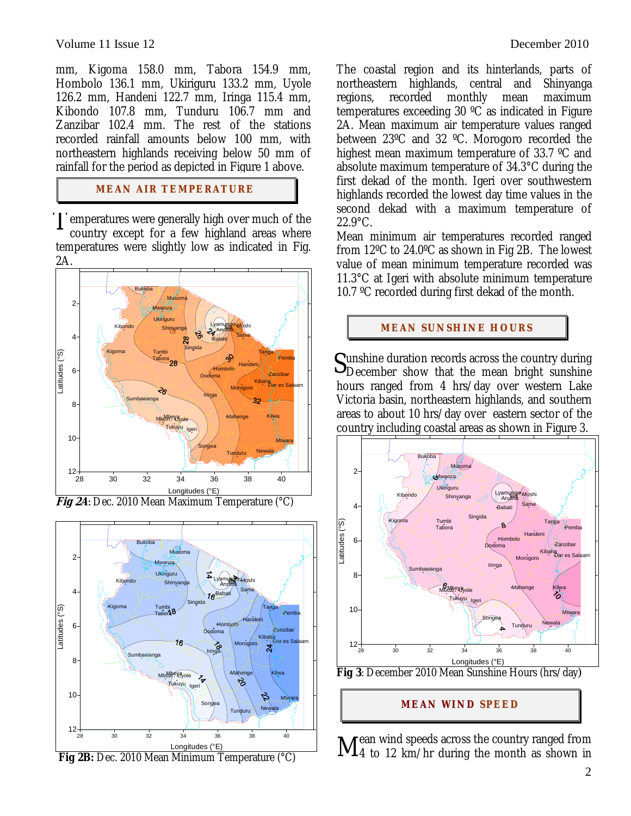#### Volume 11 Issue 12 **December 2010**

mm, Kigoma 158.0 mm, Tabora 154.9 mm, Hombolo 136.1 mm, Ukiriguru 133.2 mm, Uyole 126.2 mm, Handeni 122.7 mm, Iringa 115.4 mm, Kibondo 107.8 mm, Tunduru 106.7 mm and Zanzibar 102.4 mm. The rest of the stations recorded rainfall amounts below 100 mm, with northeastern highlands receiving below 50 mm of rainfall for the period as depicted in Figure 1 above.

## **MEAN AIR TEMPERATURE**

I emperatures were generally high over much of the country except for a few highland areas where country except for a few highland areas where temperatures were slightly low as indicated in Fig. 2A.





The coastal region and its hinterlands, parts of northeastern highlands, central and Shinyanga regions, recorded monthly mean maximum temperatures exceeding 30 ºC as indicated in Figure 2A. Mean maximum air temperature values ranged between 23ºC and 32 ºC. Morogoro recorded the highest mean maximum temperature of 33.7 ºC and absolute maximum temperature of 34.3°C during the first dekad of the month. Igeri over southwestern highlands recorded the lowest day time values in the second dekad with a maximum temperature of 22.9°C.

Mean minimum air temperatures recorded ranged from 12ºC to 24.0ºC as shown in Fig 2B. The lowest value of mean minimum temperature recorded was 11.3°C at Igeri with absolute minimum temperature 10.7 ºC recorded during first dekad of the month.

# **MEAN SUNSHINE HOURS**

unshine duration records across the country during Sunshine duration records across the country during<br>December show that the mean bright sunshine hours ranged from 4 hrs/day over western Lake Victoria basin, northeastern highlands, and southern areas to about 10 hrs/day over eastern sector of the country including coastal areas as shown in Figure 3.



**MEAN WI ND SPEED**

rean wind speeds across the country ranged from  $\rm M$ <sup>ean wind speeds across the country ranged from<br> $\rm M$ 4 to 12 km/hr during the month as shown in</sup>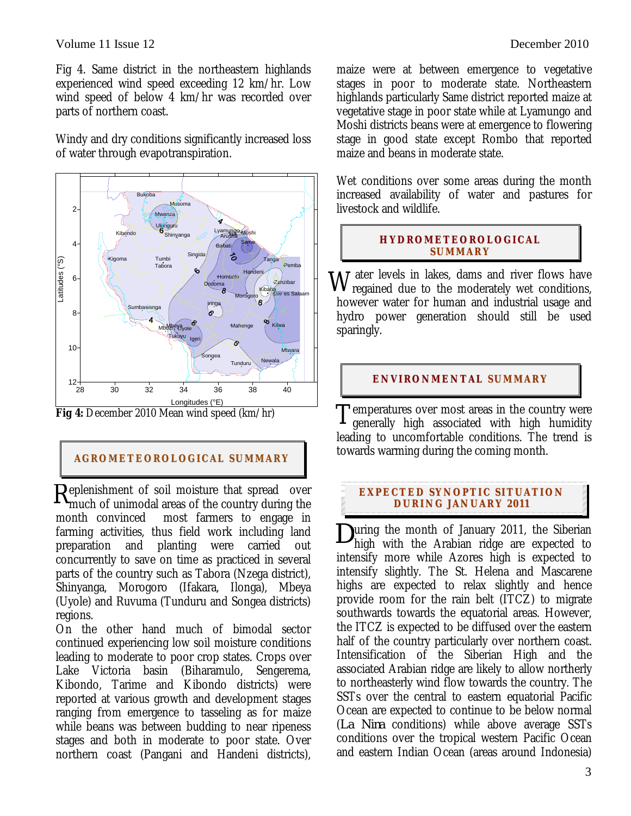Fig 4. Same district in the northeastern highlands experienced wind speed exceeding 12 km/hr. Low wind speed of below 4 km/hr was recorded over parts of northern coast.

Windy and dry conditions significantly increased loss of water through evapotranspiration.



**Fig 4:** December 2010 Mean wind speed (km/hr)

# **AGROMETEOROLOGICAL SUMMARY**

eplenishment of soil moisture that spread over Replenishment of soil moisture that spread over<br>
much of unimodal areas of the country during the month convinced most farmers to engage in farming activities, thus field work including land preparation and planting were carried out concurrently to save on time as practiced in several parts of the country such as Tabora (Nzega district), Shinyanga, Morogoro (Ifakara, Ilonga), Mbeya (Uyole) and Ruvuma (Tunduru and Songea districts) regions.

On the other hand much of bimodal sector continued experiencing low soil moisture conditions leading to moderate to poor crop states. Crops over Lake Victoria basin (Biharamulo, Sengerema, Kibondo, Tarime and Kibondo districts) were reported at various growth and development stages ranging from emergence to tasseling as for maize while beans was between budding to near ripeness stages and both in moderate to poor state. Over northern coast (Pangani and Handeni districts), maize were at between emergence to vegetative stages in poor to moderate state. Northeastern highlands particularly Same district reported maize at vegetative stage in poor state while at Lyamungo and Moshi districts beans were at emergence to flowering stage in good state except Rombo that reported maize and beans in moderate state.

Wet conditions over some areas during the month increased availability of water and pastures for livestock and wildlife.

# **HYDROMETEOROLOGICAL SUMMARY**

ater levels in lakes, dams and river flows have  $\rm W$  ater levels in lakes, dams and river flows have regained due to the moderately wet conditions, however water for human and industrial usage and hydro power generation should still be used sparingly.

# **ENVIRONMENTAL SUMMARY**

Temperatures over most areas in the country were<br>generally high associated with high humidity generally high associated with high humidity leading to uncomfortable conditions. The trend is towards warming during the coming month.

# **EXPECTED SYNOPTIC SITUATION DURI NG JANUARY 2 011**

uring the month of January 2011, the Siberian high with the Arabian ridge are expected to intensify more while Azores high is expected to intensify slightly. The St. Helena and Mascarene highs are expected to relax slightly and hence provide room for the rain belt (ITCZ) to migrate southwards towards the equatorial areas. However, the ITCZ is expected to be diffused over the eastern half of the country particularly over northern coast. Intensification of the Siberian High and the associated Arabian ridge are likely to allow northerly to northeasterly wind flow towards the country. The SSTs over the central to eastern equatorial Pacific Ocean are expected to continue to be below normal (*La Nina* conditions) while above average SSTs conditions over the tropical western Pacific Ocean and eastern Indian Ocean (areas around Indonesia) *D*